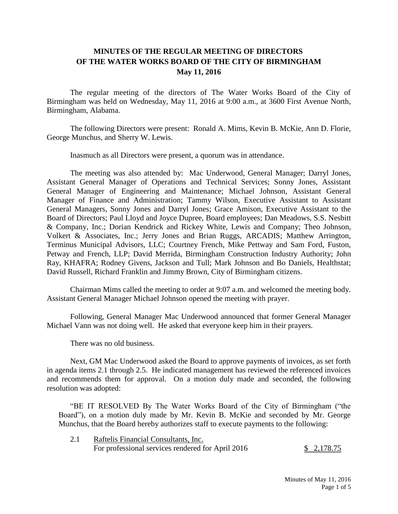## **MINUTES OF THE REGULAR MEETING OF DIRECTORS OF THE WATER WORKS BOARD OF THE CITY OF BIRMINGHAM May 11, 2016**

The regular meeting of the directors of The Water Works Board of the City of Birmingham was held on Wednesday, May 11, 2016 at 9:00 a.m., at 3600 First Avenue North, Birmingham, Alabama.

The following Directors were present: Ronald A. Mims, Kevin B. McKie, Ann D. Florie, George Munchus, and Sherry W. Lewis.

Inasmuch as all Directors were present, a quorum was in attendance.

The meeting was also attended by: Mac Underwood, General Manager; Darryl Jones, Assistant General Manager of Operations and Technical Services; Sonny Jones, Assistant General Manager of Engineering and Maintenance; Michael Johnson, Assistant General Manager of Finance and Administration; Tammy Wilson, Executive Assistant to Assistant General Managers, Sonny Jones and Darryl Jones; Grace Amison, Executive Assistant to the Board of Directors; Paul Lloyd and Joyce Dupree, Board employees; Dan Meadows, S.S. Nesbitt & Company, Inc.; Dorian Kendrick and Rickey White, Lewis and Company; Theo Johnson, Volkert & Associates, Inc.; Jerry Jones and Brian Ruggs, ARCADIS; Matthew Arrington, Terminus Municipal Advisors, LLC; Courtney French, Mike Pettway and Sam Ford, Fuston, Petway and French, LLP; David Merrida, Birmingham Construction Industry Authority; John Ray, KHAFRA; Rodney Givens, Jackson and Tull; Mark Johnson and Bo Daniels, Healthstat; David Russell, Richard Franklin and Jimmy Brown, City of Birmingham citizens.

Chairman Mims called the meeting to order at 9:07 a.m. and welcomed the meeting body. Assistant General Manager Michael Johnson opened the meeting with prayer.

Following, General Manager Mac Underwood announced that former General Manager Michael Vann was not doing well. He asked that everyone keep him in their prayers.

There was no old business.

 Next, GM Mac Underwood asked the Board to approve payments of invoices, as set forth in agenda items 2.1 through 2.5. He indicated management has reviewed the referenced invoices and recommends them for approval. On a motion duly made and seconded, the following resolution was adopted:

"BE IT RESOLVED By The Water Works Board of the City of Birmingham ("the Board"), on a motion duly made by Mr. Kevin B. McKie and seconded by Mr. George Munchus, that the Board hereby authorizes staff to execute payments to the following:

2.1 Raftelis Financial Consultants, Inc. For professional services rendered for April 2016 \$ 2,178.75

> Minutes of May 11, 2016 Page 1 of 5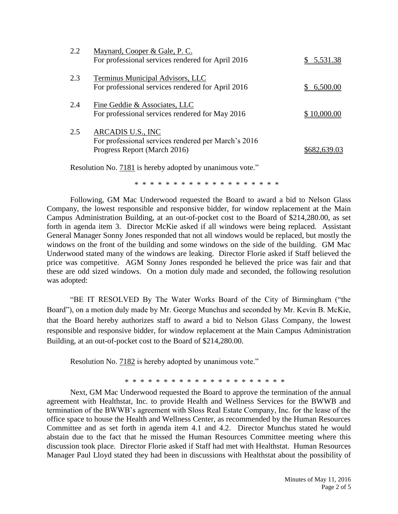| 2.2 | Maynard, Cooper & Gale, P. C.<br>For professional services rendered for April 2016                       | 5,531.38<br>S. |
|-----|----------------------------------------------------------------------------------------------------------|----------------|
| 2.3 | Terminus Municipal Advisors, LLC<br>For professional services rendered for April 2016                    | 6,500.00       |
| 2.4 | Fine Geddie & Associates, LLC<br>For professional services rendered for May 2016                         | \$10,000.00    |
| 2.5 | ARCADIS U.S., INC<br>For professional services rendered per March's 2016<br>Progress Report (March 2016) |                |

Resolution No. 7181 is hereby adopted by unanimous vote."

\* \* \* \* \* \* \* \* \* \* \* \* \* \* \* \* \* \* \*

Following, GM Mac Underwood requested the Board to award a bid to Nelson Glass Company, the lowest responsible and responsive bidder, for window replacement at the Main Campus Administration Building, at an out-of-pocket cost to the Board of \$214,280.00, as set forth in agenda item 3. Director McKie asked if all windows were being replaced. Assistant General Manager Sonny Jones responded that not all windows would be replaced, but mostly the windows on the front of the building and some windows on the side of the building. GM Mac Underwood stated many of the windows are leaking. Director Florie asked if Staff believed the price was competitive. AGM Sonny Jones responded he believed the price was fair and that these are odd sized windows. On a motion duly made and seconded, the following resolution was adopted:

"BE IT RESOLVED By The Water Works Board of the City of Birmingham ("the Board"), on a motion duly made by Mr. George Munchus and seconded by Mr. Kevin B. McKie, that the Board hereby authorizes staff to award a bid to Nelson Glass Company, the lowest responsible and responsive bidder, for window replacement at the Main Campus Administration Building, at an out-of-pocket cost to the Board of \$214,280.00.

Resolution No. 7182 is hereby adopted by unanimous vote."

\* \* \* \* \* \* \* \* \* \* \* \* \* \* \* \* \* \* \* \*

Next, GM Mac Underwood requested the Board to approve the termination of the annual agreement with Healthstat, Inc. to provide Health and Wellness Services for the BWWB and termination of the BWWB's agreement with Sloss Real Estate Company, Inc. for the lease of the office space to house the Health and Wellness Center, as recommended by the Human Resources Committee and as set forth in agenda item 4.1 and 4.2. Director Munchus stated he would abstain due to the fact that he missed the Human Resources Committee meeting where this discussion took place. Director Florie asked if Staff had met with Healthstat. Human Resources Manager Paul Lloyd stated they had been in discussions with Healthstat about the possibility of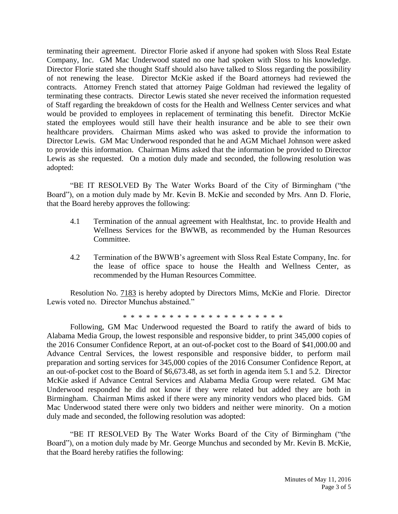terminating their agreement. Director Florie asked if anyone had spoken with Sloss Real Estate Company, Inc. GM Mac Underwood stated no one had spoken with Sloss to his knowledge. Director Florie stated she thought Staff should also have talked to Sloss regarding the possibility of not renewing the lease. Director McKie asked if the Board attorneys had reviewed the contracts. Attorney French stated that attorney Paige Goldman had reviewed the legality of terminating these contracts. Director Lewis stated she never received the information requested of Staff regarding the breakdown of costs for the Health and Wellness Center services and what would be provided to employees in replacement of terminating this benefit. Director McKie stated the employees would still have their health insurance and be able to see their own healthcare providers. Chairman Mims asked who was asked to provide the information to Director Lewis. GM Mac Underwood responded that he and AGM Michael Johnson were asked to provide this information. Chairman Mims asked that the information be provided to Director Lewis as she requested. On a motion duly made and seconded, the following resolution was adopted:

"BE IT RESOLVED By The Water Works Board of the City of Birmingham ("the Board"), on a motion duly made by Mr. Kevin B. McKie and seconded by Mrs. Ann D. Florie, that the Board hereby approves the following:

- 4.1 Termination of the annual agreement with Healthstat, Inc. to provide Health and Wellness Services for the BWWB, as recommended by the Human Resources Committee.
- 4.2 Termination of the BWWB's agreement with Sloss Real Estate Company, Inc. for the lease of office space to house the Health and Wellness Center, as recommended by the Human Resources Committee.

Resolution No. 7183 is hereby adopted by Directors Mims, McKie and Florie. Director Lewis voted no. Director Munchus abstained."

\* \* \* \* \* \* \* \* \* \* \* \* \* \* \* \* \* \* \* \*

Following, GM Mac Underwood requested the Board to ratify the award of bids to Alabama Media Group, the lowest responsible and responsive bidder, to print 345,000 copies of the 2016 Consumer Confidence Report, at an out-of-pocket cost to the Board of \$41,000.00 and Advance Central Services, the lowest responsible and responsive bidder, to perform mail preparation and sorting services for 345,000 copies of the 2016 Consumer Confidence Report, at an out-of-pocket cost to the Board of \$6,673.48, as set forth in agenda item 5.1 and 5.2. Director McKie asked if Advance Central Services and Alabama Media Group were related. GM Mac Underwood responded he did not know if they were related but added they are both in Birmingham. Chairman Mims asked if there were any minority vendors who placed bids. GM Mac Underwood stated there were only two bidders and neither were minority. On a motion duly made and seconded, the following resolution was adopted:

"BE IT RESOLVED By The Water Works Board of the City of Birmingham ("the Board"), on a motion duly made by Mr. George Munchus and seconded by Mr. Kevin B. McKie, that the Board hereby ratifies the following: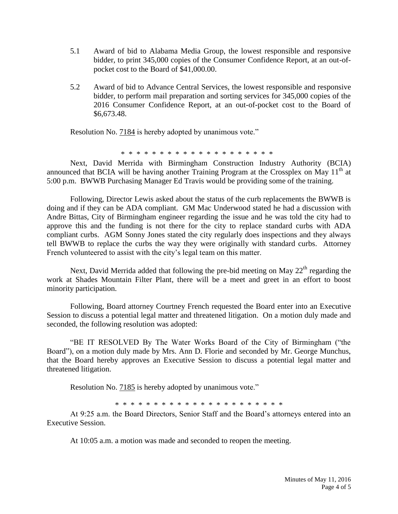- 5.1 Award of bid to Alabama Media Group, the lowest responsible and responsive bidder, to print 345,000 copies of the Consumer Confidence Report, at an out-ofpocket cost to the Board of \$41,000.00.
- 5.2 Award of bid to Advance Central Services, the lowest responsible and responsive bidder, to perform mail preparation and sorting services for 345,000 copies of the 2016 Consumer Confidence Report, at an out-of-pocket cost to the Board of \$6,673.48.

Resolution No. 7184 is hereby adopted by unanimous vote."

\* \* \* \* \* \* \* \* \* \* \* \* \* \* \* \* \* \* \* \*

Next, David Merrida with Birmingham Construction Industry Authority (BCIA) announced that BCIA will be having another Training Program at the Crossplex on May  $11<sup>th</sup>$  at 5:00 p.m. BWWB Purchasing Manager Ed Travis would be providing some of the training.

Following, Director Lewis asked about the status of the curb replacements the BWWB is doing and if they can be ADA compliant. GM Mac Underwood stated he had a discussion with Andre Bittas, City of Birmingham engineer regarding the issue and he was told the city had to approve this and the funding is not there for the city to replace standard curbs with ADA compliant curbs. AGM Sonny Jones stated the city regularly does inspections and they always tell BWWB to replace the curbs the way they were originally with standard curbs. Attorney French volunteered to assist with the city's legal team on this matter.

Next, David Merrida added that following the pre-bid meeting on May  $22<sup>th</sup>$  regarding the work at Shades Mountain Filter Plant, there will be a meet and greet in an effort to boost minority participation.

Following, Board attorney Courtney French requested the Board enter into an Executive Session to discuss a potential legal matter and threatened litigation. On a motion duly made and seconded, the following resolution was adopted:

"BE IT RESOLVED By The Water Works Board of the City of Birmingham ("the Board"), on a motion duly made by Mrs. Ann D. Florie and seconded by Mr. George Munchus, that the Board hereby approves an Executive Session to discuss a potential legal matter and threatened litigation.

Resolution No. 7185 is hereby adopted by unanimous vote."

\* \* \* \* \* \* \* \* \* \* \* \* \* \* \* \* \* \* \* \* \* \*

At 9:25 a.m. the Board Directors, Senior Staff and the Board's attorneys entered into an Executive Session.

At 10:05 a.m. a motion was made and seconded to reopen the meeting.